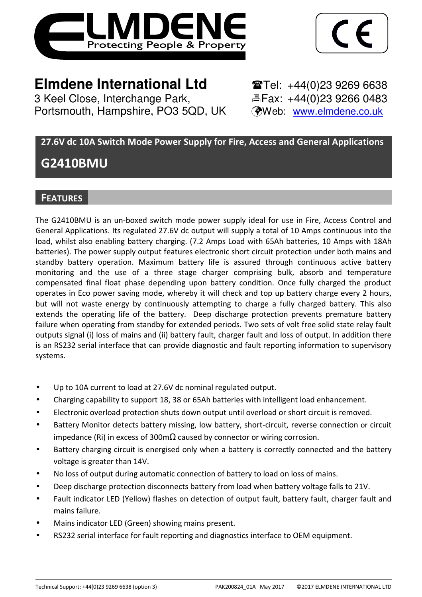

1

3 Keel Close, Interchange Park, Portsmouth, Hampshire, PO3 5QD, UK (Web: www.elmdene.co.uk)

**Elmdene International Ltd**<br> **Elmdene Interchange Park.**<br> **Elmange Park.**<br> **Elmange Park.**<br> **Elmange Park.**<br> **Elmange Park.**<br> **Elmange Park.** 

# **27.6V dc 10A Switch Mode Power Supply for Fire, Access and General Applications**

# **G2410BMU**

# **FEATURES**

The G2410BMU is an un-boxed switch mode power supply ideal for use in Fire, Access Control and General Applications. Its regulated 27.6V dc output will supply a total of 10 Amps continuous into the load, whilst also enabling battery charging. (7.2 Amps Load with 65Ah batteries, 10 Amps with 18Ah batteries). The power supply output features electronic short circuit protection under both mains and standby battery operation. Maximum battery life is assured through continuous active battery monitoring and the use of a three stage charger comprising bulk, absorb and temperature compensated final float phase depending upon battery condition. Once fully charged the product operates in Eco power saving mode, whereby it will check and top up battery charge every 2 hours, but will not waste energy by continuously attempting to charge a fully charged battery. This also extends the operating life of the battery. Deep discharge protection prevents premature battery failure when operating from standby for extended periods. Two sets of volt free solid state relay fault outputs signal (i) loss of mains and (ii) battery fault, charger fault and loss of output. In addition there is an RS232 serial interface that can provide diagnostic and fault reporting information to supervisory systems.

- Up to 10A current to load at 27.6V dc nominal regulated output.
- Charging capability to support 18, 38 or 65Ah batteries with intelligent load enhancement.
- Electronic overload protection shuts down output until overload or short circuit is removed.
- Battery Monitor detects battery missing, low battery, short-circuit, reverse connection or circuit impedance (Ri) in excess of 300mΩ caused by connector or wiring corrosion.
- Battery charging circuit is energised only when a battery is correctly connected and the battery voltage is greater than 14V.
- No loss of output during automatic connection of battery to load on loss of mains.
- Deep discharge protection disconnects battery from load when battery voltage falls to 21V.
- Fault indicator LED (Yellow) flashes on detection of output fault, battery fault, charger fault and mains failure.
- Mains indicator LED (Green) showing mains present.
- RS232 serial interface for fault reporting and diagnostics interface to OEM equipment.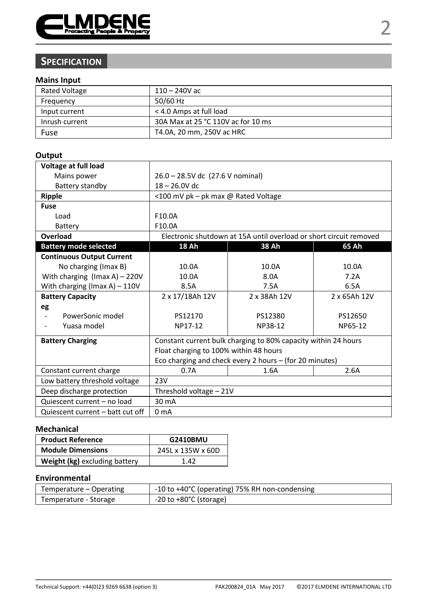

# **SPECIFICATION**

### **Mains Input**

| Rated Voltage  | 110 – 240V ac                      |
|----------------|------------------------------------|
| Frequency      | 50/60 Hz                           |
| Input current  | < 4.0 Amps at full load            |
| Inrush current | 30A Max at 25 °C 110V ac for 10 ms |
| Fuse           | T4.0A, 20 mm, 250V ac HRC          |

#### **Output**

| Voltage at full load             |                                                 |                                                                    |         |
|----------------------------------|-------------------------------------------------|--------------------------------------------------------------------|---------|
| Mains power                      | 26.0 - 28.5V dc (27.6 V nominal)                |                                                                    |         |
| Battery standby                  | $18 - 26.0V$ dc                                 |                                                                    |         |
| Ripple                           | <100 mV pk - pk max @ Rated Voltage             |                                                                    |         |
| Fuse                             |                                                 |                                                                    |         |
| Load                             | F10.0A                                          |                                                                    |         |
| Battery                          | F10.0A                                          |                                                                    |         |
| Overload                         |                                                 | Electronic shutdown at 15A until overload or short circuit removed |         |
| <b>Battery mode selected</b>     | 18 Ah                                           | 38 Ah                                                              | 65 Ah   |
| <b>Continuous Output Current</b> |                                                 |                                                                    |         |
| No charging (Imax B)             | 10.0A                                           | 10.0A                                                              | 10.0A   |
| With charging (Imax A) $-$ 220V  | 10.0A                                           | 8.0A                                                               | 7.2A    |
| With charging (Imax A) $-110V$   | 8.5A                                            | 7.5A                                                               | 6.5A    |
| <b>Battery Capacity</b>          | 2 x 17/18Ah 12V<br>2 x 38Ah 12V<br>2 x 65Ah 12V |                                                                    |         |
| eg                               |                                                 |                                                                    |         |
| PowerSonic model<br>٠            | PS12170                                         | PS12380                                                            | PS12650 |
| Yuasa model                      | NP17-12                                         | NP38-12                                                            | NP65-12 |
| <b>Battery Charging</b>          |                                                 | Constant current bulk charging to 80% capacity within 24 hours     |         |
|                                  | Float charging to 100% within 48 hours          |                                                                    |         |
|                                  |                                                 | Eco charging and check every 2 hours - (for 20 minutes)            |         |
| Constant current charge          | 0.7A<br>2.6A<br>1.6A                            |                                                                    |         |
| Low battery threshold voltage    | 23V                                             |                                                                    |         |
| Deep discharge protection        | Threshold voltage - 21V                         |                                                                    |         |
| Quiescent current - no load      | 30 mA                                           |                                                                    |         |
| Quiescent current – batt cut off | 0 <sub>m</sub> A                                |                                                                    |         |

#### **Mechanical**

| <b>Product Reference</b>      | G2410BMU          |  |
|-------------------------------|-------------------|--|
| <b>Module Dimensions</b>      | 245L x 135W x 60D |  |
| Weight (kg) excluding battery | 1 42              |  |

#### **Environmental**

| Temperature – Operating | -10 to +40°C (operating) 75% RH non-condensing |
|-------------------------|------------------------------------------------|
| Temperature - Storage   | $-20$ to $+80^{\circ}$ C (storage)             |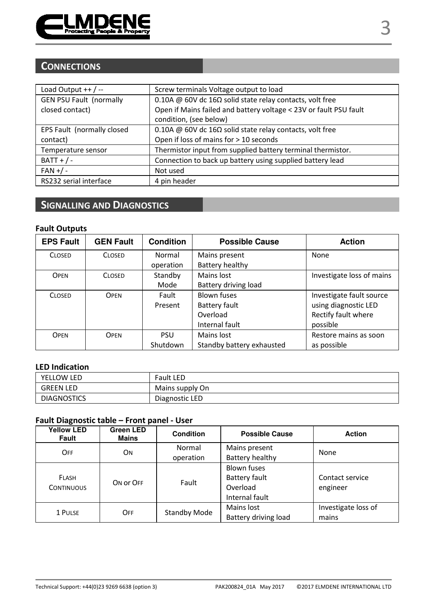

# **CONNECTIONS**

| Load Output $++$ / --          | Screw terminals Voltage output to load                            |
|--------------------------------|-------------------------------------------------------------------|
| <b>GEN PSU Fault (normally</b> | 0.10A @ 60V dc 16 $\Omega$ solid state relay contacts, volt free  |
| closed contact)                | Open if Mains failed and battery voltage < 23V or fault PSU fault |
|                                | condition, (see below)                                            |
| EPS Fault (normally closed     | 0.10A @ 60V dc 16 $\Omega$ solid state relay contacts, volt free  |
| contact)                       | Open if loss of mains for > 10 seconds                            |
| Temperature sensor             | Thermistor input from supplied battery terminal thermistor.       |
| $BAT + / -$                    | Connection to back up battery using supplied battery lead         |
| $FAN + / -$                    | Not used                                                          |
| RS232 serial interface         | 4 pin header                                                      |

# **SIGNALLING AND DIAGNOSTICS**

#### **Fault Outputs**

| <b>EPS Fault</b> | <b>GEN Fault</b> | <b>Condition</b> | <b>Possible Cause</b>     | <b>Action</b>             |
|------------------|------------------|------------------|---------------------------|---------------------------|
| <b>CLOSED</b>    | <b>CLOSED</b>    | Normal           | Mains present             | None                      |
|                  |                  | operation        | Battery healthy           |                           |
| OPEN             | <b>CLOSED</b>    | Standby          | Mains lost                | Investigate loss of mains |
|                  |                  | Mode             | Battery driving load      |                           |
| <b>CLOSED</b>    | OPFN             | Fault            | Blown fuses               | Investigate fault source  |
|                  |                  | Present          | Battery fault             | using diagnostic LED      |
|                  |                  |                  | Overload                  | Rectify fault where       |
|                  |                  |                  | Internal fault            | possible                  |
| <b>OPFN</b>      | OPFN             | <b>PSU</b>       | Mains lost                | Restore mains as soon     |
|                  |                  | Shutdown         | Standby battery exhausted | as possible               |

#### **LED Indication**

| YELLOW LED         | <b>Fault LED</b> |
|--------------------|------------------|
| <b>GREEN LED</b>   | Mains supply On  |
| <b>DIAGNOSTICS</b> | Diagnostic LED   |

### **Fault Diagnostic table – Front panel - User**

| <b>Yellow LED</b><br>Fault | Green LED<br>Mains | Condition    | <b>Possible Cause</b>                                                    | <b>Action</b>                |
|----------------------------|--------------------|--------------|--------------------------------------------------------------------------|------------------------------|
| OFF                        | ON                 | Normal       | Mains present                                                            | None                         |
|                            |                    | operation    | Battery healthy                                                          |                              |
| FLASH<br><b>CONTINUOUS</b> | ON OF OFF          | Fault        | <b>Blown fuses</b><br><b>Battery fault</b><br>Overload<br>Internal fault | Contact service<br>engineer  |
| 1 PULSE                    | OFF                | Standby Mode | Mains lost<br>Battery driving load                                       | Investigate loss of<br>mains |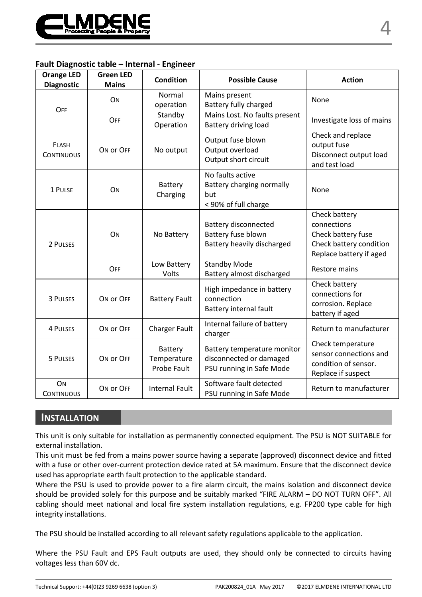

#### **Fault Diagnostic table – Internal - Engineer**

| <b>Orange LED</b><br><b>Diagnostic</b> | <b>Green LED</b><br><b>Mains</b> | Condition                             | <b>Possible Cause</b>                                                              | <b>Action</b>                                                                                            |
|----------------------------------------|----------------------------------|---------------------------------------|------------------------------------------------------------------------------------|----------------------------------------------------------------------------------------------------------|
| OFF                                    | ON                               | Normal<br>operation                   | Mains present<br>Battery fully charged                                             | None                                                                                                     |
|                                        | OFF                              | Standby<br>Operation                  | Mains Lost. No faults present<br>Battery driving load                              | Investigate loss of mains                                                                                |
| FLASH<br><b>CONTINUOUS</b>             | ON OF OFF                        | No output                             | Output fuse blown<br>Output overload<br>Output short circuit                       | Check and replace<br>output fuse<br>Disconnect output load<br>and test load                              |
| 1 PULSE                                | ON                               | Battery<br>Charging                   | No faults active<br>Battery charging normally<br>but<br>< 90% of full charge       | None                                                                                                     |
| 2 PULSES                               | ON                               | No Battery                            | <b>Battery disconnected</b><br>Battery fuse blown<br>Battery heavily discharged    | Check battery<br>connections<br>Check battery fuse<br>Check battery condition<br>Replace battery if aged |
|                                        | OFF                              | Low Battery<br>Volts                  | <b>Standby Mode</b><br>Battery almost discharged                                   | <b>Restore mains</b>                                                                                     |
| 3 PULSES                               | ON OF OFF                        | <b>Battery Fault</b>                  | High impedance in battery<br>connection<br>Battery internal fault                  | Check battery<br>connections for<br>corrosion. Replace<br>battery if aged                                |
| <b>4 PULSES</b>                        | ON OF OFF                        | <b>Charger Fault</b>                  | Internal failure of battery<br>charger                                             | Return to manufacturer                                                                                   |
| 5 PULSES                               | ON OF OFF                        | Battery<br>Temperature<br>Probe Fault | Battery temperature monitor<br>disconnected or damaged<br>PSU running in Safe Mode | Check temperature<br>sensor connections and<br>condition of sensor.<br>Replace if suspect                |
| ON<br><b>CONTINUOUS</b>                | ON OF OFF                        | <b>Internal Fault</b>                 | Software fault detected<br>PSU running in Safe Mode                                | Return to manufacturer                                                                                   |

#### **INSTALLATION**

This unit is only suitable for installation as permanently connected equipment. The PSU is NOT SUITABLE for external installation.

This unit must be fed from a mains power source having a separate (approved) disconnect device and fitted with a fuse or other over-current protection device rated at 5A maximum. Ensure that the disconnect device used has appropriate earth fault protection to the applicable standard.

Where the PSU is used to provide power to a fire alarm circuit, the mains isolation and disconnect device should be provided solely for this purpose and be suitably marked "FIRE ALARM – DO NOT TURN OFF". All cabling should meet national and local fire system installation regulations, e.g. FP200 type cable for high integrity installations.

The PSU should be installed according to all relevant safety regulations applicable to the application.

Where the PSU Fault and EPS Fault outputs are used, they should only be connected to circuits having voltages less than 60V dc.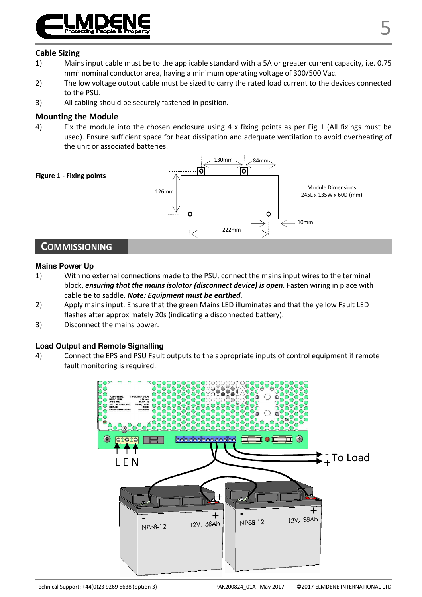

#### **Cable Sizing**

- 1) Mains input cable must be to the applicable standard with a 5A or greater current capacity, i.e. 0.75 mm<sup>2</sup> nominal conductor area, having a minimum operating voltage of 300/500 Vac.
- 2) The low voltage output cable must be sized to carry the rated load current to the devices connected to the PSU.
- 3) All cabling should be securely fastened in position.

#### **Mounting the Module**

4) Fix the module into the chosen enclosure using  $4 \times$  fixing points as per Fig 1 (All fixings must be used). Ensure sufficient space for heat dissipation and adequate ventilation to avoid overheating of the unit or associated batteries.



#### **Mains Power Up**

- 1) With no external connections made to the PSU, connect the mains input wires to the terminal block, *ensuring that the mains isolator (disconnect device) is open*. Fasten wiring in place with cable tie to saddle. *Note: Equipment must be earthed.*
- 2) Apply mains input. Ensure that the green Mains LED illuminates and that the yellow Fault LED flashes after approximately 20s (indicating a disconnected battery).
- 3) Disconnect the mains power.

#### **Load Output and Remote Signalling**

4) Connect the EPS and PSU Fault outputs to the appropriate inputs of control equipment if remote fault monitoring is required.

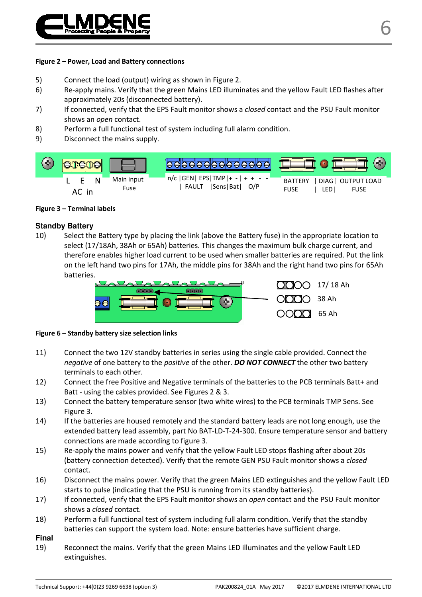

#### **Figure 2 – Power, Load and Battery connections**

- 5) Connect the load (output) wiring as shown in Figure 2.
- 6) Re-apply mains. Verify that the green Mains LED illuminates and the yellow Fault LED flashes after approximately 20s (disconnected battery).
- 7) If connected, verify that the EPS Fault monitor shows a *closed* contact and the PSU Fault monitor shows an *open* contact.
- 8) Perform a full functional test of system including full alarm condition.
- 9) Disconnect the mains supply.



#### **Figure 3 – Terminal labels**

#### **Standby Battery**

10) Select the Battery type by placing the link (above the Battery fuse) in the appropriate location to select (17/18Ah, 38Ah or 65Ah) batteries. This changes the maximum bulk charge current, and therefore enables higher load current to be used when smaller batteries are required. Put the link on the left hand two pins for 17Ah, the middle pins for 38Ah and the right hand two pins for 65Ah batteries.



#### **Figure 6 – Standby battery size selection links**

- 11) Connect the two 12V standby batteries in series using the single cable provided. Connect the *negative* of one battery to the *positive* of the other. *DO NOT CONNECT* the other two battery terminals to each other.
- 12) Connect the free Positive and Negative terminals of the batteries to the PCB terminals Batt+ and Batt - using the cables provided. See Figures 2 & 3.
- 13) Connect the battery temperature sensor (two white wires) to the PCB terminals TMP Sens. See Figure 3.
- 14) If the batteries are housed remotely and the standard battery leads are not long enough, use the extended battery lead assembly, part No BAT-LD-T-24-300. Ensure temperature sensor and battery connections are made according to figure 3.
- 15) Re-apply the mains power and verify that the yellow Fault LED stops flashing after about 20s (battery connection detected). Verify that the remote GEN PSU Fault monitor shows a *closed* contact.
- 16) Disconnect the mains power. Verify that the green Mains LED extinguishes and the yellow Fault LED starts to pulse (indicating that the PSU is running from its standby batteries).
- 17) If connected, verify that the EPS Fault monitor shows an *open* contact and the PSU Fault monitor shows a *closed* contact.
- 18) Perform a full functional test of system including full alarm condition. Verify that the standby batteries can support the system load. Note: ensure batteries have sufficient charge.

#### **Final**

19) Reconnect the mains. Verify that the green Mains LED illuminates and the yellow Fault LED extinguishes.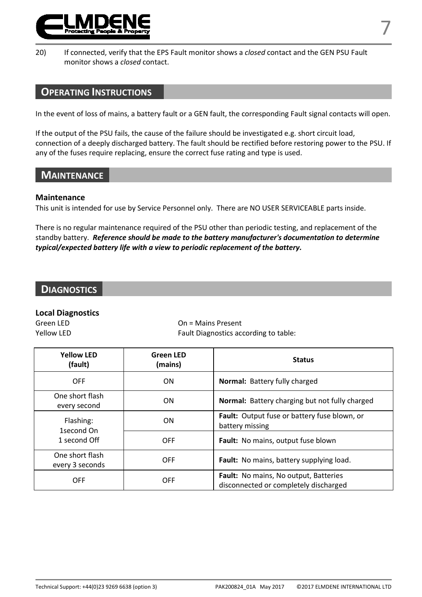

20) If connected, verify that the EPS Fault monitor shows a *closed* contact and the GEN PSU Fault monitor shows a *closed* contact.

#### **OPERATING INSTRUCTIONS**

In the event of loss of mains, a battery fault or a GEN fault, the corresponding Fault signal contacts will open.

If the output of the PSU fails, the cause of the failure should be investigated e.g. short circuit load, connection of a deeply discharged battery. The fault should be rectified before restoring power to the PSU. If any of the fuses require replacing, ensure the correct fuse rating and type is used.

#### **MAINTENANCE**

#### **Maintenance**

This unit is intended for use by Service Personnel only. There are NO USER SERVICEABLE parts inside.

There is no regular maintenance required of the PSU other than periodic testing, and replacement of the standby battery. *Reference should be made to the battery manufacturer's documentation to determine typical/expected battery life with a view to periodic replacement of the battery.* 

#### **DIAGNOSTICS**

#### **Local Diagnostics**

Green LED On = Mains Present Yellow LED **Fault Diagnostics according to table:** 

| <b>Yellow LFD</b><br>(fault)              | <b>Green LED</b><br>(mains) | <b>Status</b>                                                                         |
|-------------------------------------------|-----------------------------|---------------------------------------------------------------------------------------|
| OFF                                       | ON                          | <b>Normal: Battery fully charged</b>                                                  |
| One short flash<br>every second           | ON                          | <b>Normal:</b> Battery charging but not fully charged                                 |
| Flashing:<br>1second On                   | ON                          | Fault: Output fuse or battery fuse blown, or<br>battery missing                       |
| 1 second Off                              | <b>OFF</b>                  | Fault: No mains, output fuse blown                                                    |
| One short flash<br>OFF<br>every 3 seconds |                             | Fault: No mains, battery supplying load.                                              |
| OFF                                       | OFF                         | <b>Fault:</b> No mains, No output, Batteries<br>disconnected or completely discharged |